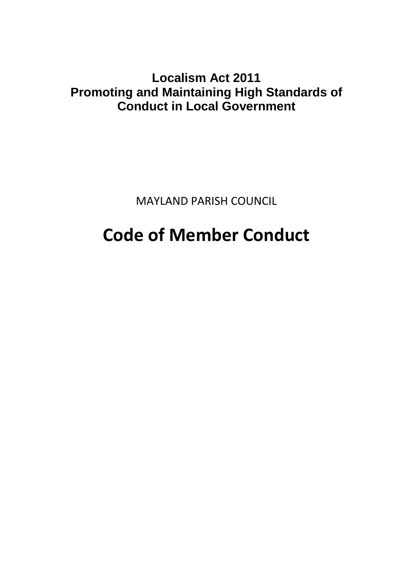## **Localism Act 2011 Promoting and Maintaining High Standards of Conduct in Local Government**

MAYLAND PARISH COUNCIL

# **Code of Member Conduct**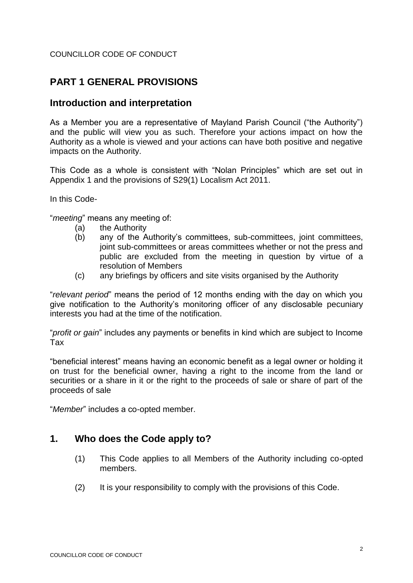#### COUNCILLOR CODE OF CONDUCT

## **PART 1 GENERAL PROVISIONS**

## **Introduction and interpretation**

As a Member you are a representative of Mayland Parish Council ("the Authority") and the public will view you as such. Therefore your actions impact on how the Authority as a whole is viewed and your actions can have both positive and negative impacts on the Authority.

This Code as a whole is consistent with "Nolan Principles" which are set out in Appendix 1 and the provisions of S29(1) Localism Act 2011.

In this Code-

"*meeting*" means any meeting of:

- (a) the Authority
- (b) any of the Authority's committees, sub-committees, joint committees, joint sub-committees or areas committees whether or not the press and public are excluded from the meeting in question by virtue of a resolution of Members
- (c) any briefings by officers and site visits organised by the Authority

"*relevant period*" means the period of 12 months ending with the day on which you give notification to the Authority's monitoring officer of any disclosable pecuniary interests you had at the time of the notification.

"*profit or gain*" includes any payments or benefits in kind which are subject to Income Tax

"beneficial interest" means having an economic benefit as a legal owner or holding it on trust for the beneficial owner, having a right to the income from the land or securities or a share in it or the right to the proceeds of sale or share of part of the proceeds of sale

"*Member*" includes a co-opted member.

## **1. Who does the Code apply to?**

- (1) This Code applies to all Members of the Authority including co-opted members.
- (2) It is your responsibility to comply with the provisions of this Code.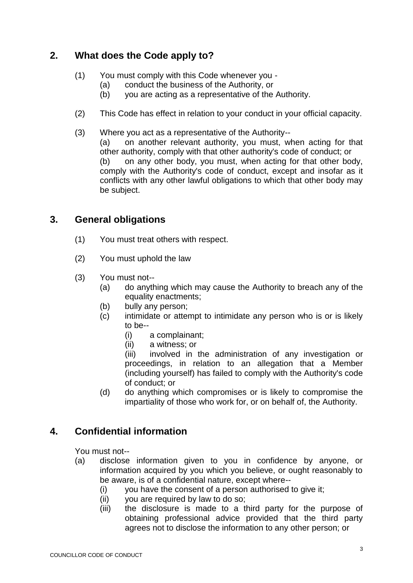## **2. What does the Code apply to?**

- (1) You must comply with this Code whenever you
	- (a) conduct the business of the Authority, or
	- (b) you are acting as a representative of the Authority.
- (2) This Code has effect in relation to your conduct in your official capacity.
- (3) Where you act as a representative of the Authority--
	- (a) on another relevant authority, you must, when acting for that other authority, comply with that other authority's code of conduct; or (b) on any other body, you must, when acting for that other body, comply with the Authority's code of conduct, except and insofar as it conflicts with any other lawful obligations to which that other body may be subject.

## **3. General obligations**

- (1) You must treat others with respect.
- (2) You must uphold the law
- (3) You must not--
	- (a) do anything which may cause the Authority to breach any of the equality enactments;
	- (b) bully any person;
	- (c) intimidate or attempt to intimidate any person who is or is likely to be--
		- (i) a complainant;
		- (ii) a witness; or

(iii) involved in the administration of any investigation or proceedings, in relation to an allegation that a Member (including yourself) has failed to comply with the Authority's code of conduct; or

(d) do anything which compromises or is likely to compromise the impartiality of those who work for, or on behalf of, the Authority.

## **4. Confidential information**

You must not--

- (a) disclose information given to you in confidence by anyone, or information acquired by you which you believe, or ought reasonably to be aware, is of a confidential nature, except where--
	- (i) you have the consent of a person authorised to give it;
	- (ii) you are required by law to do so;
	- (iii) the disclosure is made to a third party for the purpose of obtaining professional advice provided that the third party agrees not to disclose the information to any other person; or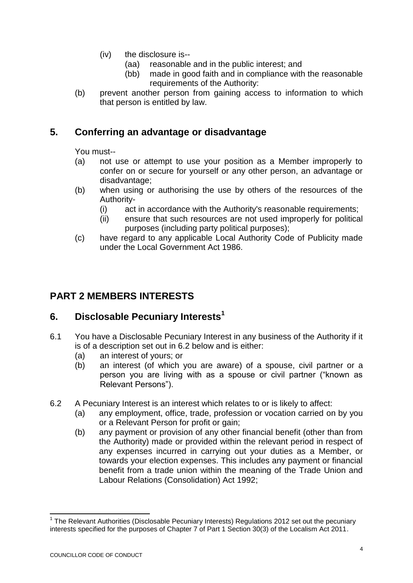- (iv) the disclosure is--
	- (aa) reasonable and in the public interest; and
	- (bb) made in good faith and in compliance with the reasonable requirements of the Authority:
- (b) prevent another person from gaining access to information to which that person is entitled by law.

## **5. Conferring an advantage or disadvantage**

You must--

- (a) not use or attempt to use your position as a Member improperly to confer on or secure for yourself or any other person, an advantage or disadvantage;
- (b) when using or authorising the use by others of the resources of the Authority-
	- (i) act in accordance with the Authority's reasonable requirements;
	- (ii) ensure that such resources are not used improperly for political purposes (including party political purposes);
- (c) have regard to any applicable Local Authority Code of Publicity made under the Local Government Act 1986.

## **PART 2 MEMBERS INTERESTS**

## **6. Disclosable Pecuniary Interests<sup>1</sup>**

- 6.1 You have a Disclosable Pecuniary Interest in any business of the Authority if it is of a description set out in 6.2 below and is either:
	- (a) an interest of yours; or
	- (b) an interest (of which you are aware) of a spouse, civil partner or a person you are living with as a spouse or civil partner ("known as Relevant Persons").
- 6.2 A Pecuniary Interest is an interest which relates to or is likely to affect:
	- (a) any employment, office, trade, profession or vocation carried on by you or a Relevant Person for profit or gain;
	- (b) any payment or provision of any other financial benefit (other than from the Authority) made or provided within the relevant period in respect of any expenses incurred in carrying out your duties as a Member, or towards your election expenses. This includes any payment or financial benefit from a trade union within the meaning of the Trade Union and Labour Relations (Consolidation) Act 1992;

-

<sup>&</sup>lt;sup>1</sup> The Relevant Authorities (Disclosable Pecuniary Interests) Regulations 2012 set out the pecuniary interests specified for the purposes of Chapter 7 of Part 1 Section 30(3) of the Localism Act 2011.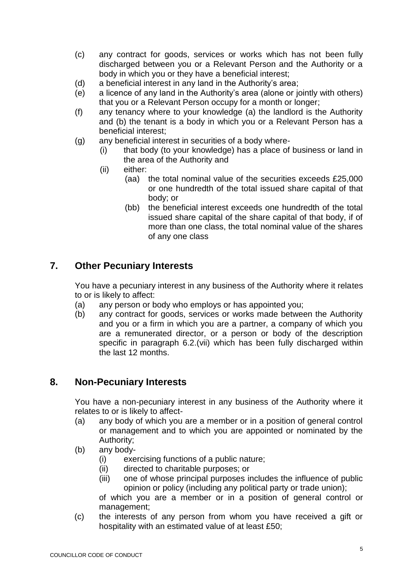- (c) any contract for goods, services or works which has not been fully discharged between you or a Relevant Person and the Authority or a body in which you or they have a beneficial interest;
- (d) a beneficial interest in any land in the Authority's area;
- (e) a licence of any land in the Authority's area (alone or jointly with others) that you or a Relevant Person occupy for a month or longer;
- (f) any tenancy where to your knowledge (a) the landlord is the Authority and (b) the tenant is a body in which you or a Relevant Person has a beneficial interest;
- (g) any beneficial interest in securities of a body where-
	- (i) that body (to your knowledge) has a place of business or land in the area of the Authority and
	- (ii) either:
		- (aa) the total nominal value of the securities exceeds £25,000 or one hundredth of the total issued share capital of that body; or
		- (bb) the beneficial interest exceeds one hundredth of the total issued share capital of the share capital of that body, if of more than one class, the total nominal value of the shares of any one class

## **7. Other Pecuniary Interests**

You have a pecuniary interest in any business of the Authority where it relates to or is likely to affect:

- (a) any person or body who employs or has appointed you;
- (b) any contract for goods, services or works made between the Authority and you or a firm in which you are a partner, a company of which you are a remunerated director, or a person or body of the description specific in paragraph 6.2.(vii) which has been fully discharged within the last 12 months.

#### **8. Non-Pecuniary Interests**

You have a non-pecuniary interest in any business of the Authority where it relates to or is likely to affect-

- (a) any body of which you are a member or in a position of general control or management and to which you are appointed or nominated by the Authority;
- (b) any body-
	- (i) exercising functions of a public nature;
	- (ii) directed to charitable purposes; or
	- (iii) one of whose principal purposes includes the influence of public opinion or policy (including any political party or trade union);

of which you are a member or in a position of general control or management;

(c) the interests of any person from whom you have received a gift or hospitality with an estimated value of at least £50;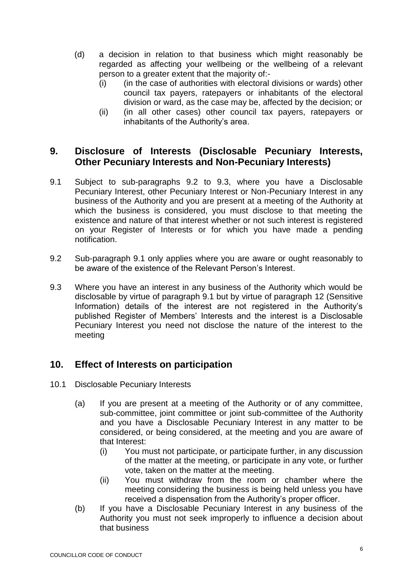- (d) a decision in relation to that business which might reasonably be regarded as affecting your wellbeing or the wellbeing of a relevant person to a greater extent that the majority of:-
	- (i) (in the case of authorities with electoral divisions or wards) other council tax payers, ratepayers or inhabitants of the electoral division or ward, as the case may be, affected by the decision; or
	- (ii) (in all other cases) other council tax payers, ratepayers or inhabitants of the Authority's area.

## **9. Disclosure of Interests (Disclosable Pecuniary Interests, Other Pecuniary Interests and Non-Pecuniary Interests)**

- 9.1 Subject to sub-paragraphs 9.2 to 9.3, where you have a Disclosable Pecuniary Interest, other Pecuniary Interest or Non-Pecuniary Interest in any business of the Authority and you are present at a meeting of the Authority at which the business is considered, you must disclose to that meeting the existence and nature of that interest whether or not such interest is registered on your Register of Interests or for which you have made a pending notification.
- 9.2 Sub-paragraph 9.1 only applies where you are aware or ought reasonably to be aware of the existence of the Relevant Person's Interest.
- 9.3 Where you have an interest in any business of the Authority which would be disclosable by virtue of paragraph 9.1 but by virtue of paragraph 12 (Sensitive Information) details of the interest are not registered in the Authority's published Register of Members' Interests and the interest is a Disclosable Pecuniary Interest you need not disclose the nature of the interest to the meeting

## **10. Effect of Interests on participation**

- 10.1 Disclosable Pecuniary Interests
	- (a) If you are present at a meeting of the Authority or of any committee, sub-committee, joint committee or joint sub-committee of the Authority and you have a Disclosable Pecuniary Interest in any matter to be considered, or being considered, at the meeting and you are aware of that Interest:
		- (i) You must not participate, or participate further, in any discussion of the matter at the meeting, or participate in any vote, or further vote, taken on the matter at the meeting.
		- (ii) You must withdraw from the room or chamber where the meeting considering the business is being held unless you have received a dispensation from the Authority's proper officer.
	- (b) If you have a Disclosable Pecuniary Interest in any business of the Authority you must not seek improperly to influence a decision about that business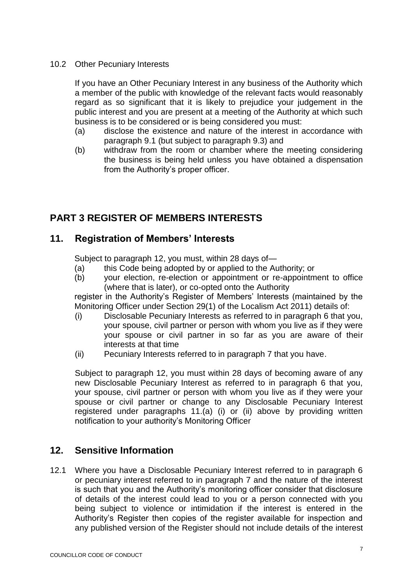#### 10.2 Other Pecuniary Interests

If you have an Other Pecuniary Interest in any business of the Authority which a member of the public with knowledge of the relevant facts would reasonably regard as so significant that it is likely to prejudice your judgement in the public interest and you are present at a meeting of the Authority at which such business is to be considered or is being considered you must:

- (a) disclose the existence and nature of the interest in accordance with paragraph 9.1 (but subject to paragraph 9.3) and
- (b) withdraw from the room or chamber where the meeting considering the business is being held unless you have obtained a dispensation from the Authority's proper officer.

## **PART 3 REGISTER OF MEMBERS INTERESTS**

## **11. Registration of Members' Interests**

Subject to paragraph 12, you must, within 28 days of—

- (a) this Code being adopted by or applied to the Authority; or
- (b) your election, re-election or appointment or re-appointment to office (where that is later), or co-opted onto the Authority

register in the Authority's Register of Members' Interests (maintained by the Monitoring Officer under Section 29(1) of the Localism Act 2011) details of:

- (i) Disclosable Pecuniary Interests as referred to in paragraph 6 that you, your spouse, civil partner or person with whom you live as if they were your spouse or civil partner in so far as you are aware of their interests at that time
- (ii) Pecuniary Interests referred to in paragraph 7 that you have.

Subject to paragraph 12, you must within 28 days of becoming aware of any new Disclosable Pecuniary Interest as referred to in paragraph 6 that you, your spouse, civil partner or person with whom you live as if they were your spouse or civil partner or change to any Disclosable Pecuniary Interest registered under paragraphs 11.(a) (i) or (ii) above by providing written notification to your authority's Monitoring Officer

## **12. Sensitive Information**

12.1 Where you have a Disclosable Pecuniary Interest referred to in paragraph 6 or pecuniary interest referred to in paragraph 7 and the nature of the interest is such that you and the Authority's monitoring officer consider that disclosure of details of the interest could lead to you or a person connected with you being subject to violence or intimidation if the interest is entered in the Authority's Register then copies of the register available for inspection and any published version of the Register should not include details of the interest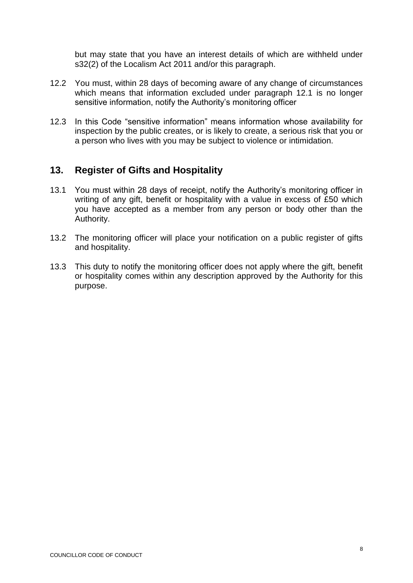but may state that you have an interest details of which are withheld under s32(2) of the Localism Act 2011 and/or this paragraph.

- 12.2 You must, within 28 days of becoming aware of any change of circumstances which means that information excluded under paragraph 12.1 is no longer sensitive information, notify the Authority's monitoring officer
- 12.3 In this Code "sensitive information" means information whose availability for inspection by the public creates, or is likely to create, a serious risk that you or a person who lives with you may be subject to violence or intimidation.

## **13. Register of Gifts and Hospitality**

- 13.1 You must within 28 days of receipt, notify the Authority's monitoring officer in writing of any gift, benefit or hospitality with a value in excess of £50 which you have accepted as a member from any person or body other than the Authority.
- 13.2 The monitoring officer will place your notification on a public register of gifts and hospitality.
- 13.3 This duty to notify the monitoring officer does not apply where the gift, benefit or hospitality comes within any description approved by the Authority for this purpose.